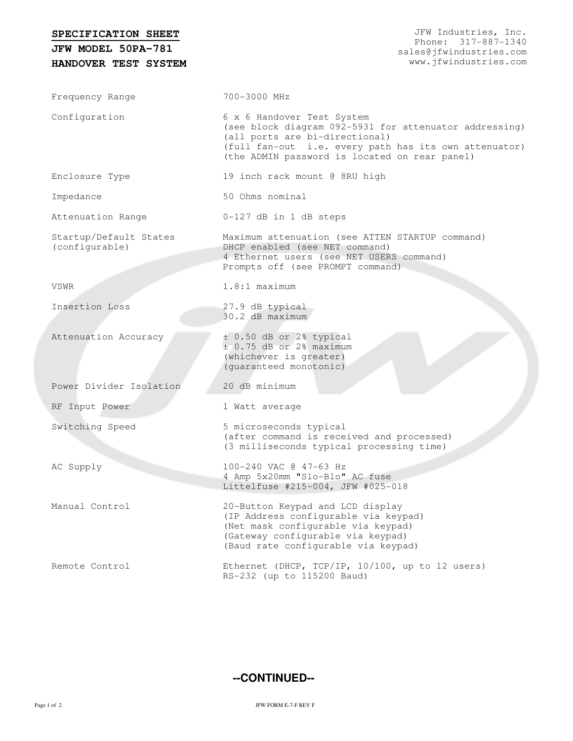| SPECIFICATION SHEET                        | JFW Industries, Inc.<br>Phone: 317-887-1340                                                                                                                                                                                      |
|--------------------------------------------|----------------------------------------------------------------------------------------------------------------------------------------------------------------------------------------------------------------------------------|
| JFW MODEL 50PA-781<br>HANDOVER TEST SYSTEM | sales@jfwindustries.com<br>www.jfwindustries.com                                                                                                                                                                                 |
| Frequency Range                            | 700-3000 MHz                                                                                                                                                                                                                     |
| Configuration                              | 6 x 6 Handover Test System<br>(see block diagram 092-5931 for attenuator addressing)<br>(all ports are bi-directional)<br>(full fan-out i.e. every path has its own attenuator)<br>(the ADMIN password is located on rear panel) |
| Enclosure Type                             | 19 inch rack mount @ 8RU high                                                                                                                                                                                                    |
| Impedance                                  | 50 Ohms nominal                                                                                                                                                                                                                  |
| Attenuation Range                          | 0-127 dB in 1 dB steps                                                                                                                                                                                                           |
| Startup/Default States<br>(configurable)   | Maximum attenuation (see ATTEN STARTUP command)<br>DHCP enabled (see NET command)<br>4 Ethernet users (see NET USERS command)<br>Prompts off (see PROMPT command)                                                                |
| VSWR                                       | $1.8:1$ maximum                                                                                                                                                                                                                  |
| Insertion Loss                             | 27.9 dB typical<br>30.2 dB maximum                                                                                                                                                                                               |
| Attenuation Accuracy                       | $\pm$ 0.50 dB or 2% typical<br>$\pm$ 0.75 dB or 2% maximum<br>(whichever is greater)<br>(guaranteed monotonic)                                                                                                                   |
| Power Divider Isolation                    | 20 dB minimum                                                                                                                                                                                                                    |
| RF Input Power                             | 1 Watt average                                                                                                                                                                                                                   |
| Switching Speed                            | 5 microseconds typical<br>(after command is received and processed)<br>(3 milliseconds typical processing time)                                                                                                                  |
| AC Supply                                  | 100-240 VAC @ 47-63 Hz<br>4 Amp 5x20mm "Slo-Blo" AC fuse<br>Littelfuse #215-004, JFW #025-018                                                                                                                                    |
| Manual Control                             | 20-Button Keypad and LCD display<br>(IP Address configurable via keypad)<br>(Net mask configurable via keypad)<br>(Gateway configurable via keypad)<br>(Baud rate configurable via keypad)                                       |
| Remote Control                             | Ethernet (DHCP, TCP/IP, 10/100, up to 12 users)<br>RS-232 (up to 115200 Baud)                                                                                                                                                    |

**--CONTINUED--**